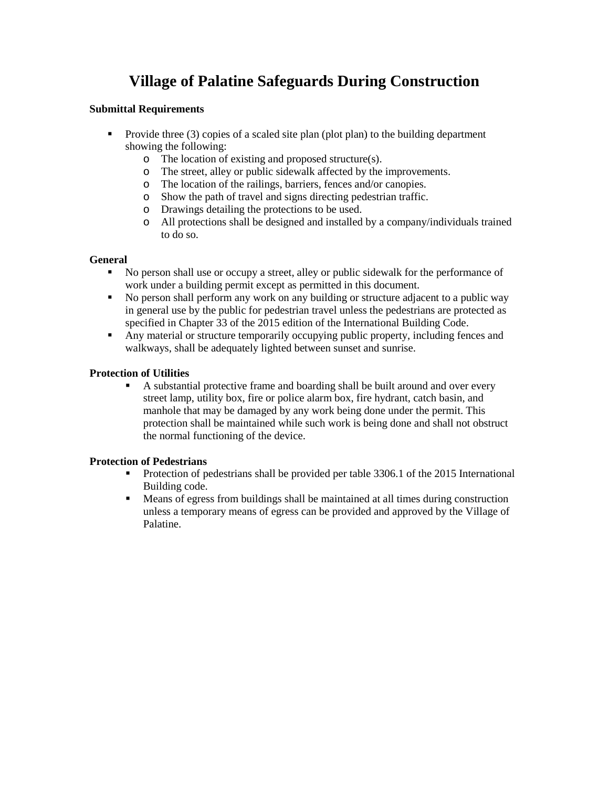# **Village of Palatine Safeguards During Construction**

# **Submittal Requirements**

- Provide three  $(3)$  copies of a scaled site plan (plot plan) to the building department showing the following:
	- o The location of existing and proposed structure(s).
	- o The street, alley or public sidewalk affected by the improvements.
	- o The location of the railings, barriers, fences and/or canopies.
	- o Show the path of travel and signs directing pedestrian traffic.
	- o Drawings detailing the protections to be used.
	- o All protections shall be designed and installed by a company/individuals trained to do so.

# **General**

- No person shall use or occupy a street, alley or public sidewalk for the performance of work under a building permit except as permitted in this document.
- No person shall perform any work on any building or structure adjacent to a public way in general use by the public for pedestrian travel unless the pedestrians are protected as specified in Chapter 33 of the 2015 edition of the International Building Code.
- Any material or structure temporarily occupying public property, including fences and walkways, shall be adequately lighted between sunset and sunrise.

# **Protection of Utilities**

 A substantial protective frame and boarding shall be built around and over every street lamp, utility box, fire or police alarm box, fire hydrant, catch basin, and manhole that may be damaged by any work being done under the permit. This protection shall be maintained while such work is being done and shall not obstruct the normal functioning of the device.

# **Protection of Pedestrians**

- Protection of pedestrians shall be provided per table 3306.1 of the 2015 International Building code.
- Means of egress from buildings shall be maintained at all times during construction unless a temporary means of egress can be provided and approved by the Village of Palatine.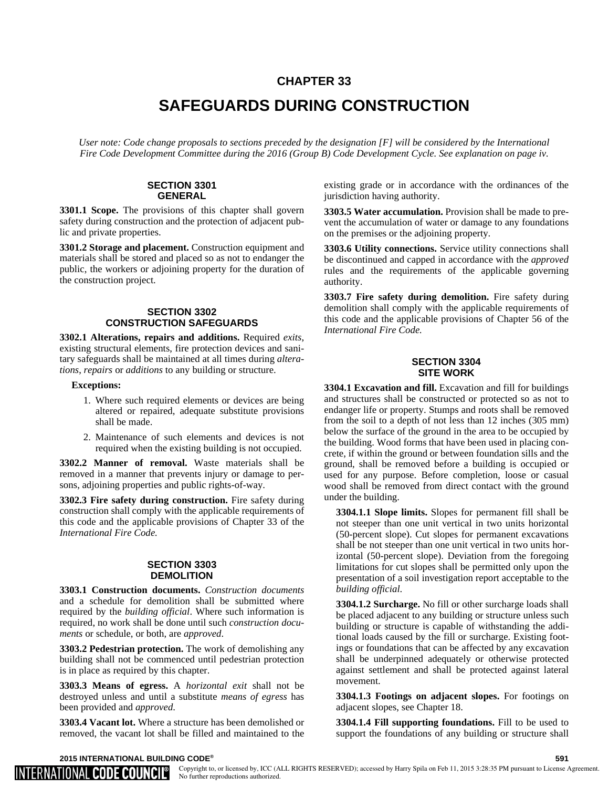# **CHAPTER 33**

# **SAFEGUARDS DURING CONSTRUCTION**

*User note: Code change proposals to sections preceded by the designation [F] will be considered by the International Fire Code Development Committee during the 2016 (Group B) Code Development Cycle. See explanation on page iv.*

## **SECTION 3301 GENERAL**

**3301.1 Scope.** The provisions of this chapter shall govern safety during construction and the protection of adjacent public and private properties.

**3301.2 Storage and placement.** Construction equipment and materials shall be stored and placed so as not to endanger the public, the workers or adjoining property for the duration of the construction project.

## **SECTION 3302 CONSTRUCTION SAFEGUARDS**

**3302.1 Alterations, repairs and additions.** Required *exits*, existing structural elements, fire protection devices and sanitary safeguards shall be maintained at all times during *alterations*, *repairs* or *additions* to any building or structure.

#### **Exceptions:**

- 1. Where such required elements or devices are being altered or repaired, adequate substitute provisions shall be made.
- 2. Maintenance of such elements and devices is not required when the existing building is not occupied.

**3302.2 Manner of removal.** Waste materials shall be removed in a manner that prevents injury or damage to persons, adjoining properties and public rights-of-way.

**3302.3 Fire safety during construction.** Fire safety during construction shall comply with the applicable requirements of this code and the applicable provisions of Chapter 33 of the *International Fire Code.*

## **SECTION 3303 DEMOLITION**

**3303.1 Construction documents.** *Construction documents* and a schedule for demolition shall be submitted where required by the *building official*. Where such information is required, no work shall be done until such *construction documents* or schedule, or both, are *approved*.

**3303.2 Pedestrian protection.** The work of demolishing any building shall not be commenced until pedestrian protection is in place as required by this chapter.

**3303.3 Means of egress.** A *horizontal exit* shall not be destroyed unless and until a substitute *means of egress* has been provided and *approved*.

**3303.4 Vacant lot.** Where a structure has been demolished or removed, the vacant lot shall be filled and maintained to the existing grade or in accordance with the ordinances of the jurisdiction having authority.

**3303.5 Water accumulation.** Provision shall be made to prevent the accumulation of water or damage to any foundations on the premises or the adjoining property.

**3303.6 Utility connections.** Service utility connections shall be discontinued and capped in accordance with the *approved* rules and the requirements of the applicable governing authority.

**3303.7 Fire safety during demolition.** Fire safety during demolition shall comply with the applicable requirements of this code and the applicable provisions of Chapter 56 of the *International Fire Code.*

### **SECTION 3304 SITE WORK**

**3304.1 Excavation and fill.** Excavation and fill for buildings and structures shall be constructed or protected so as not to endanger life or property. Stumps and roots shall be removed from the soil to a depth of not less than 12 inches (305 mm) below the surface of the ground in the area to be occupied by the building. Wood forms that have been used in placing concrete, if within the ground or between foundation sills and the ground, shall be removed before a building is occupied or used for any purpose. Before completion, loose or casual wood shall be removed from direct contact with the ground under the building.

**3304.1.1 Slope limits.** Slopes for permanent fill shall be not steeper than one unit vertical in two units horizontal (50-percent slope). Cut slopes for permanent excavations shall be not steeper than one unit vertical in two units horizontal (50-percent slope). Deviation from the foregoing limitations for cut slopes shall be permitted only upon the presentation of a soil investigation report acceptable to the *building official*.

**3304.1.2 Surcharge.** No fill or other surcharge loads shall be placed adjacent to any building or structure unless such building or structure is capable of withstanding the additional loads caused by the fill or surcharge. Existing footings or foundations that can be affected by any excavation shall be underpinned adequately or otherwise protected against settlement and shall be protected against lateral movement.

**3304.1.3 Footings on adjacent slopes.** For footings on adjacent slopes, see Chapter 18.

**3304.1.4 Fill supporting foundations.** Fill to be used to support the foundations of any building or structure shall

#### **2015 INTERNATIONAL BUILDING CODE® 591**

INTERNATIONAL **CODE COUNCIL** 

Copyright to, or licensed by, ICC (ALL RIGHTS RESERVED); accessed by Harry Spila on Feb 11, 2015 3:28:35 PM pursuant to License Agreement. No further reproductions authorized.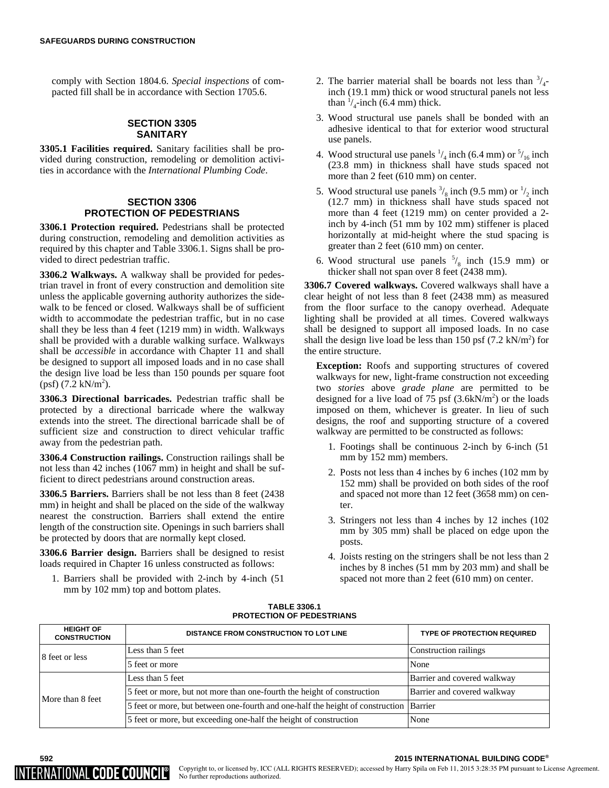comply with Section 1804.6. *Special inspections* of compacted fill shall be in accordance with Section 1705.6.

## **SECTION 3305 SANITARY**

**3305.1 Facilities required.** Sanitary facilities shall be provided during construction, remodeling or demolition activities in accordance with the *International Plumbing Code*.

## **SECTION 3306 PROTECTION OF PEDESTRIANS**

**3306.1 Protection required.** Pedestrians shall be protected during construction, remodeling and demolition activities as required by this chapter and Table 3306.1. Signs shall be provided to direct pedestrian traffic.

**3306.2 Walkways.** A walkway shall be provided for pedestrian travel in front of every construction and demolition site unless the applicable governing authority authorizes the sidewalk to be fenced or closed. Walkways shall be of sufficient width to accommodate the pedestrian traffic, but in no case shall they be less than 4 feet (1219 mm) in width. Walkways shall be provided with a durable walking surface. Walkways shall be *accessible* in accordance with Chapter 11 and shall be designed to support all imposed loads and in no case shall the design live load be less than 150 pounds per square foot  $(psf)$  (7.2 kN/m<sup>2</sup>).

**3306.3 Directional barricades.** Pedestrian traffic shall be protected by a directional barricade where the walkway extends into the street. The directional barricade shall be of sufficient size and construction to direct vehicular traffic away from the pedestrian path.

**3306.4 Construction railings.** Construction railings shall be not less than 42 inches (1067 mm) in height and shall be sufficient to direct pedestrians around construction areas.

**3306.5 Barriers.** Barriers shall be not less than 8 feet (2438 mm) in height and shall be placed on the side of the walkway nearest the construction. Barriers shall extend the entire length of the construction site. Openings in such barriers shall be protected by doors that are normally kept closed.

**3306.6 Barrier design.** Barriers shall be designed to resist loads required in Chapter 16 unless constructed as follows:

1. Barriers shall be provided with 2-inch by 4-inch (51 mm by 102 mm) top and bottom plates.

- 2. The barrier material shall be boards not less than  $\frac{3}{4}$ inch (19.1 mm) thick or wood structural panels not less than  $\frac{1}{4}$ -inch (6.4 mm) thick.
- 3. Wood structural use panels shall be bonded with an adhesive identical to that for exterior wood structural use panels.
- 4. Wood structural use panels  $\frac{1}{4}$  inch (6.4 mm) or  $\frac{5}{16}$  inch (23.8 mm) in thickness shall have studs spaced not more than 2 feet (610 mm) on center.
- 5. Wood structural use panels  $\frac{3}{8}$  inch (9.5 mm) or  $\frac{1}{2}$  inch (12.7 mm) in thickness shall have studs spaced not more than 4 feet (1219 mm) on center provided a 2 inch by 4-inch (51 mm by 102 mm) stiffener is placed horizontally at mid-height where the stud spacing is greater than 2 feet (610 mm) on center.
- 6. Wood structural use panels  $\frac{5}{8}$  inch (15.9 mm) or thicker shall not span over 8 feet (2438 mm).

**3306.7 Covered walkways.** Covered walkways shall have a clear height of not less than 8 feet (2438 mm) as measured from the floor surface to the canopy overhead. Adequate lighting shall be provided at all times. Covered walkways shall be designed to support all imposed loads. In no case shall the design live load be less than 150 psf  $(7.2 \text{ kN/m}^2)$  for the entire structure.

**Exception:** Roofs and supporting structures of covered walkways for new, light-frame construction not exceeding two *stories* above *grade plane* are permitted to be designed for a live load of 75 psf  $(3.6kN/m<sup>2</sup>)$  or the loads imposed on them, whichever is greater. In lieu of such designs, the roof and supporting structure of a covered walkway are permitted to be constructed as follows:

- 1. Footings shall be continuous 2-inch by 6-inch (51 mm by 152 mm) members.
- 2. Posts not less than 4 inches by 6 inches (102 mm by 152 mm) shall be provided on both sides of the roof and spaced not more than 12 feet (3658 mm) on center.
- 3. Stringers not less than 4 inches by 12 inches (102 mm by 305 mm) shall be placed on edge upon the posts.
- 4. Joists resting on the stringers shall be not less than 2 inches by 8 inches (51 mm by 203 mm) and shall be spaced not more than 2 feet (610 mm) on center.

### **TABLE 3306.1 PROTECTION OF PEDESTRIANS**

| <b>HEIGHT OF</b><br><b>CONSTRUCTION</b> | DISTANCE FROM CONSTRUCTION TO LOT LINE                                                 | <b>TYPE OF PROTECTION REQUIRED</b> |
|-----------------------------------------|----------------------------------------------------------------------------------------|------------------------------------|
| 8 feet or less                          | Less than 5 feet                                                                       | Construction railings              |
|                                         | 15 feet or more                                                                        | None                               |
| More than 8 feet                        | Less than 5 feet                                                                       | Barrier and covered walkway        |
|                                         | 5 feet or more, but not more than one-fourth the height of construction                | Barrier and covered walkway        |
|                                         | 5 feet or more, but between one-fourth and one-half the height of construction Barrier |                                    |
|                                         | 5 feet or more, but exceeding one-half the height of construction                      | None                               |



#### **592 2015 INTERNATIONAL BUILDING CODE®**

Copyright to, or licensed by, ICC (ALL RIGHTS RESERVED); accessed by Harry Spila on Feb 11, 2015 3:28:35 PM pursuant to License Agreement.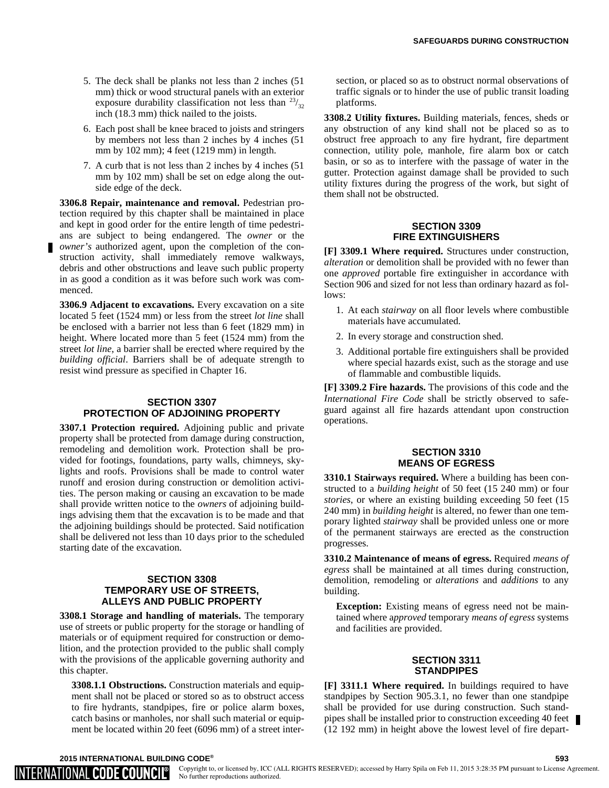- 5. The deck shall be planks not less than 2 inches (51 mm) thick or wood structural panels with an exterior exposure durability classification not less than  $23/32$ inch (18.3 mm) thick nailed to the joists.
- 6. Each post shall be knee braced to joists and stringers by members not less than 2 inches by 4 inches (51 mm by 102 mm); 4 feet (1219 mm) in length.
- 7. A curb that is not less than 2 inches by 4 inches (51 mm by 102 mm) shall be set on edge along the outside edge of the deck.

**3306.8 Repair, maintenance and removal.** Pedestrian protection required by this chapter shall be maintained in place and kept in good order for the entire length of time pedestrians are subject to being endangered. The *owner* or the *owner's* authorized agent, upon the completion of the construction activity, shall immediately remove walkways, debris and other obstructions and leave such public property in as good a condition as it was before such work was commenced.

**3306.9 Adjacent to excavations.** Every excavation on a site located 5 feet (1524 mm) or less from the street *lot line* shall be enclosed with a barrier not less than 6 feet (1829 mm) in height. Where located more than 5 feet (1524 mm) from the street *lot line*, a barrier shall be erected where required by the *building official*. Barriers shall be of adequate strength to resist wind pressure as specified in Chapter 16.

### **SECTION 3307 PROTECTION OF ADJOINING PROPERTY**

**3307.1 Protection required.** Adjoining public and private property shall be protected from damage during construction, remodeling and demolition work. Protection shall be provided for footings, foundations, party walls, chimneys, skylights and roofs. Provisions shall be made to control water runoff and erosion during construction or demolition activities. The person making or causing an excavation to be made shall provide written notice to the *owners* of adjoining buildings advising them that the excavation is to be made and that the adjoining buildings should be protected. Said notification shall be delivered not less than 10 days prior to the scheduled starting date of the excavation.

## **SECTION 3308 TEMPORARY USE OF STREETS, ALLEYS AND PUBLIC PROPERTY**

**3308.1 Storage and handling of materials.** The temporary use of streets or public property for the storage or handling of materials or of equipment required for construction or demolition, and the protection provided to the public shall comply with the provisions of the applicable governing authority and this chapter.

**3308.1.1 Obstructions.** Construction materials and equipment shall not be placed or stored so as to obstruct access to fire hydrants, standpipes, fire or police alarm boxes, catch basins or manholes, nor shall such material or equipment be located within 20 feet (6096 mm) of a street inter-

section, or placed so as to obstruct normal observations of traffic signals or to hinder the use of public transit loading platforms.

**3308.2 Utility fixtures.** Building materials, fences, sheds or any obstruction of any kind shall not be placed so as to obstruct free approach to any fire hydrant, fire department connection, utility pole, manhole, fire alarm box or catch basin, or so as to interfere with the passage of water in the gutter. Protection against damage shall be provided to such utility fixtures during the progress of the work, but sight of them shall not be obstructed.

## **SECTION 3309 FIRE EXTINGUISHERS**

**[F] 3309.1 Where required.** Structures under construction, *alteration* or demolition shall be provided with no fewer than one *approved* portable fire extinguisher in accordance with Section 906 and sized for not less than ordinary hazard as follows:

- 1. At each *stairway* on all floor levels where combustible materials have accumulated.
- 2. In every storage and construction shed.
- 3. Additional portable fire extinguishers shall be provided where special hazards exist, such as the storage and use of flammable and combustible liquids.

**[F] 3309.2 Fire hazards.** The provisions of this code and the *International Fire Code* shall be strictly observed to safeguard against all fire hazards attendant upon construction operations.

## **SECTION 3310 MEANS OF EGRESS**

**3310.1 Stairways required.** Where a building has been constructed to a *building height* of 50 feet (15 240 mm) or four *stories*, or where an existing building exceeding 50 feet (15 240 mm) in *building height* is altered, no fewer than one temporary lighted *stairway* shall be provided unless one or more of the permanent stairways are erected as the construction progresses.

**3310.2 Maintenance of means of egress.** Required *means of egress* shall be maintained at all times during construction, demolition, remodeling or *alterations* and *additions* to any building.

**Exception:** Existing means of egress need not be maintained where a*pproved* temporary *means of egress* systems and facilities are provided.

## **SECTION 3311 STANDPIPES**

**[F] 3311.1 Where required.** In buildings required to have standpipes by Section 905.3.1, no fewer than one standpipe shall be provided for use during construction. Such standpipes shall be installed prior to construction exceeding 40 feet (12 192 mm) in height above the lowest level of fire depart-

**2015 INTERNATIONAL BUILDING CODE® 593**

IINTERNATIONAL **code council** 

Copyright to, or licensed by, ICC (ALL RIGHTS RESERVED); accessed by Harry Spila on Feb 11, 2015 3:28:35 PM pursuant to License Agreement. No further reproductions authorized.